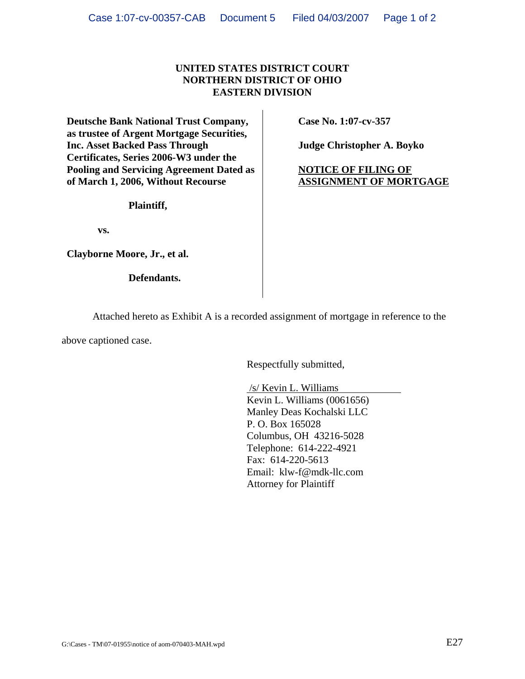## **UNITED STATES DISTRICT COURT NORTHERN DISTRICT OF OHIO EASTERN DIVISION**

**Deutsche Bank National Trust Company, as trustee of Argent Mortgage Securities, Inc. Asset Backed Pass Through Certificates, Series 2006-W3 under the Pooling and Servicing Agreement Dated as of March 1, 2006, Without Recourse**

**Plaintiff,**

**vs.**

**Clayborne Moore, Jr., et al.**

**Defendants.**

**Case No. 1:07-cv-357**

**Judge Christopher A. Boyko**

**NOTICE OF FILING OF ASSIGNMENT OF MORTGAGE**

Attached hereto as Exhibit A is a recorded assignment of mortgage in reference to the

above captioned case.

Respectfully submitted,

 /s/ Kevin L. Williams Kevin L. Williams (0061656) Manley Deas Kochalski LLC P. O. Box 165028 Columbus, OH 43216-5028 Telephone: 614-222-4921 Fax: 614-220-5613 Email: klw-f@mdk-llc.com Attorney for Plaintiff